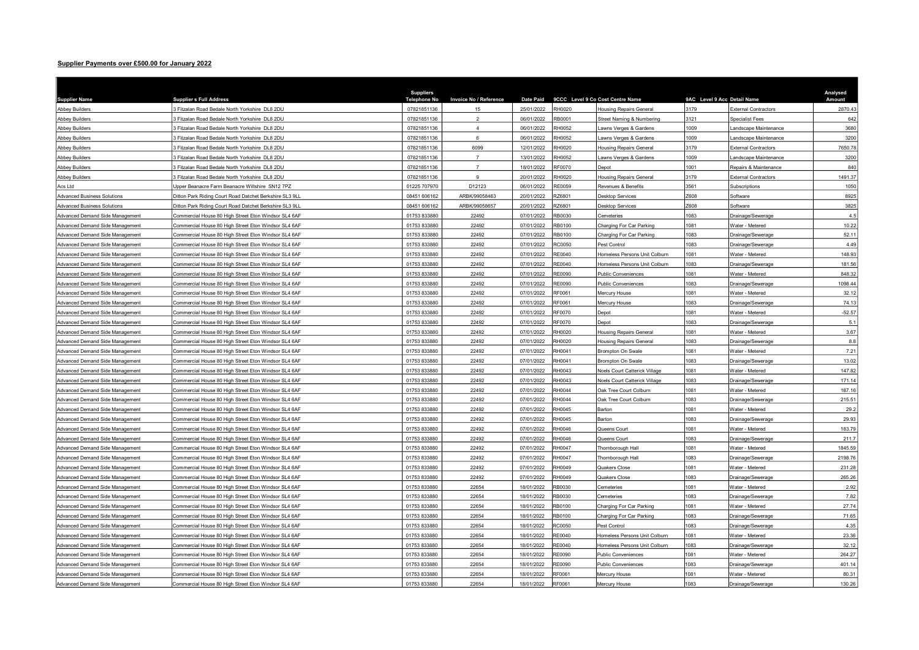## Supplier Payments over £500.00 for January 2022

| <b>Supplier Name</b>               | <b>Supplier s Full Address</b>                          | Suppliers<br><b>Telephone No</b> | Invoice No / Reference | <b>Date Paid</b> |               | 9CCC Level 9 Co Cost Centre Name     | 9AC Level 9 Acc Detail Name |                             | Analysed<br>Amount |
|------------------------------------|---------------------------------------------------------|----------------------------------|------------------------|------------------|---------------|--------------------------------------|-----------------------------|-----------------------------|--------------------|
| <b>Abbey Builders</b>              | 3 Fitzalan Road Bedale North Yorkshire DL8 2DU          | 07821851136                      | 15                     | 25/01/2022       | RH0020        | Housing Repairs General              | 3179                        | External Contractors        | 2870.43            |
| <b>Abbey Builders</b>              | 3 Fitzalan Road Bedale North Yorkshire DL8 2DU          | 07821851136                      | $\overline{2}$         | 06/01/2022       | <b>RB0001</b> | Street Naming & Numbering            | 3121                        | Specialist Fees             | 642                |
| <b>Abbey Builders</b>              | Fitzalan Road Bedale North Yorkshire DL8 2DU            | 07821851136                      | $\Delta$               | 06/01/2022       | RH0052        | awns Verges & Gardens                | 1009                        | andscape Maintenance        | 3680               |
| <b>Abbey Builders</b>              | 3 Fitzalan Road Bedale North Yorkshire DL8 2DU          | 07821851136                      | 6                      | 06/01/2022       | RH0052        | awns Verges & Gardens                | 1009                        | andscape Maintenance        | 3200               |
| <b>Abbey Builders</b>              | 3 Fitzalan Road Bedale North Yorkshire DL8 2DU          | 07821851136                      | 6099                   | 12/01/2022       | H0020         | <b>Housing Repairs Genera</b>        | 3179                        | External Contractors        | 7650.78            |
| <b>Abbey Builders</b>              | 3 Fitzalan Road Bedale North Yorkshire DL8 2DU          | 07821851136                      | $\overline{7}$         | 13/01/2022       | RH0052        | awns Verges & Gardens                | 1009                        | andscape Maintenance        | 3200               |
| <b>Abbey Builders</b>              | 3 Fitzalan Road Bedale North Yorkshire DL8 2DU          | 07821851136                      | $\overline{7}$         | 18/01/2022       | F0070         | )epot                                | 1001                        | Repairs & Maintenance       | 840                |
| <b>Abbey Builders</b>              | 3 Fitzalan Road Bedale North Yorkshire DL8 2DU          | 07821851136                      | 9                      | 20/01/2022       | RH0020        | <b>Housing Repairs General</b>       | 3179                        | <b>External Contractors</b> | 1491.37            |
| Acs Ltd                            | Upper Beanacre Farm Beanacre Wiltshire SN12 7PZ         | 01225 707970                     | D12123                 | 06/01/2022       | <b>RE0059</b> | Revenues & Benefits                  | 3561                        | Subscriptions               | 1050               |
| <b>Advanced Business Solutions</b> | Ditton Park Riding Court Road Datchet Berkshire SL3 9LL | 08451 606162                     | ARBK/99058463          | 20/01/2022       | <b>Z6801</b>  | <b>Desktop Services</b>              | 2608                        | Software                    | 8925               |
| <b>Advanced Business Solutions</b> | Ditton Park Riding Court Road Datchet Berkshire SL3 9LL | 08451 606162                     | ARBK/99058657          | 20/01/2022       | <b>Z6801</b>  | Desktop Services                     | Z608                        | Software                    | 3825               |
| Advanced Demand Side Management    | Commercial House 80 High Street Eton Windsor SL4 6AF    | 01753 833880                     | 22492                  | 07/01/2022       | B0030         | <b>Cemeteries</b>                    | 1083                        | Drainage/Sewerage           | 4.5                |
| Advanced Demand Side Management    | Commercial House 80 High Street Eton Windsor SL4 6AF    | 01753 833880                     | 22492                  | 07/01/2022       | B0100         | Charging For Car Parking             | 1081                        | Water - Metered             | 10.22              |
| Advanced Demand Side Management    | Commercial House 80 High Street Eton Windsor SL4 6AF    | 01753 833880                     | 22492                  | 07/01/2022       | B0100         | Charging For Car Parking             | 083                         | Orainage/Sewerage           | 52.1               |
| Advanced Demand Side Management    | Commercial House 80 High Street Eton Windsor SL4 6AF    | 01753 833880                     | 22492                  | 07/01/2022       | C0050         | Pest Control                         | 1083                        | Drainage/Sewerag            | 4.49               |
| Advanced Demand Side Management    | Commercial House 80 High Street Eton Windsor SL4 6AF    | 01753 833880                     | 22492                  | 07/01/2022       | E0040         | Iomeless Persons Unit Colburn        | 1081                        | Water - Metered             | 148.93             |
| Advanced Demand Side Management    | Commercial House 80 High Street Eton Windsor SL4 6AF    | 01753 833880                     | 22492                  | 07/01/2022       | RE0040        | Iomeless Persons Unit Colburn        | 083                         | Drainage/Sewerage           | 181.56             |
| Advanced Demand Side Management    | Commercial House 80 High Street Eton Windsor SL4 6AF    | 01753 833880                     | 22492                  | 07/01/2022       | RE0090        | <b>Public Conveniences</b>           | 1081                        | Water - Metered             | 848.32             |
| Advanced Demand Side Management    | Commercial House 80 High Street Eton Windsor SL4 6AF    | 01753 833880                     | 22492                  | 07/01/2022       | E0090         | Public Conveniences                  | 1083                        | Drainage/Sewerage           | 1098.44            |
| Advanced Demand Side Management    | Commercial House 80 High Street Eton Windsor SL4 6AF    | 01753 833880                     | 22492                  | 07/01/2022       | F0061         | Mercury House                        | 1081                        | <b>Nater - Metered</b>      | 32.12              |
| Advanced Demand Side Management    | Commercial House 80 High Street Eton Windsor SL4 6AF    | 01753 833880                     | 22492                  | 07/01/2022       | F0061         | Mercury House                        | 083                         | Drainage/Sewerage           | 74.13              |
| Advanced Demand Side Management    | Commercial House 80 High Street Eton Windsor SL4 6AF    | 01753 833880                     | 22492                  | 07/01/2022       | RF0070        | <b>Depot</b>                         | 1081                        | Water - Metered             | $-52.57$           |
| Advanced Demand Side Management    | Commercial House 80 High Street Eton Windsor SL4 6AF    | 01753 833880                     | 22492                  | 07/01/2022       | RF0070        | Depot                                | 1083                        | Drainage/Sewerage           | 5.1                |
| Advanced Demand Side Management    | Commercial House 80 High Street Eton Windsor SL4 6AF    | 01753 833880                     | 22492                  | 07/01/2022       | H0020         | Housing Repairs General              | 1081                        | Water - Metered             | 3.67               |
| Advanced Demand Side Management    | Commercial House 80 High Street Eton Windsor SL4 6AF    | 01753 833880                     | 22492                  | 07/01/2022       | <b>RH0020</b> | Housing Repairs General              | 1083                        | Drainage/Sewerage           | 8.8                |
| Advanced Demand Side Management    | Commercial House 80 High Street Eton Windsor SL4 6AF    | 01753 833880                     | 22492                  | 07/01/2022       | RH0041        | <b>Brompton On Swale</b>             | 1081                        | Water - Metered             | 7.21               |
| Advanced Demand Side Management    | Commercial House 80 High Street Eton Windsor SL4 6AF    | 01753 833880                     | 22492                  | 07/01/2022       | H0041         | <b>Brompton On Swale</b>             | 083                         | Orainage/Sewerage           | 13.02              |
| Advanced Demand Side Management    | Commercial House 80 High Street Eton Windsor SL4 6AF    | 01753 833880                     | 22492                  | 07/01/2022       | H0043         | <b>Noels Court Catterick Village</b> | 081                         | Water - Meterec             | 147.82             |
| Advanced Demand Side Management    | Commercial House 80 High Street Eton Windsor SL4 6AF    | 01753 833880                     | 22492                  | 07/01/2022       | H0043         | Noels Court Catterick Village        | 1083                        | Drainage/Sewerage           | 171.14             |
| Advanced Demand Side Management    | Commercial House 80 High Street Eton Windsor SL4 6AF    | 01753 833880                     | 22492                  | 07/01/2022       | <b>RH0044</b> | Oak Tree Court Colburn               | 1081                        | Water - Metered             | 187.16             |
| Advanced Demand Side Management    | Commercial House 80 High Street Eton Windsor SL4 6AF    | 01753 833880                     | 22492                  | 07/01/2022       | H0044         | Oak Tree Court Colburn               | 1083                        | Drainage/Sewerage           | 215.51             |
| Advanced Demand Side Management    | Commercial House 80 High Street Eton Windsor SL4 6AF    | 01753 833880                     | 22492                  | 07/01/2022       | RH0045        | Barton                               | 1081                        | Water - Metered             | 29.2               |
| Advanced Demand Side Management    | Commercial House 80 High Street Eton Windsor SL4 6AF    | 01753 833880                     | 22492                  | 07/01/2022       | RH0045        | <b>Barton</b>                        | 083                         | Drainage/Sewerage           | 29.93              |
| Advanced Demand Side Management    | Commercial House 80 High Street Eton Windsor SL4 6AF    | 01753 833880                     | 22492                  | 07/01/2022       | H0046         | Queens Court                         | 081                         | <b>Nater - Metered</b>      | 183.79             |
| Advanced Demand Side Management    | Commercial House 80 High Street Eton Windsor SL4 6AF    | 01753 833880                     | 22492                  | 07/01/2022       | H0046         | Queens Court                         | 083                         | Drainage/Sewerage           | 211.7              |
| Advanced Demand Side Management    | Commercial House 80 High Street Eton Windsor SL4 6AF    | 01753 833880                     | 22492                  | 07/01/2022       | RH0047        | Thornborough Hall                    | 1081                        | Water - Metered             | 1845.59            |
| Advanced Demand Side Management    | Commercial House 80 High Street Eton Windsor SL4 6AF    | 01753 833880                     | 22492                  | 07/01/2022       | RH0047        | hornborough Hall                     | 083                         | Drainage/Sewerage           | 2198.76            |
| Advanced Demand Side Management    | Commercial House 80 High Street Eton Windsor SL4 6AF    | 01753 833880                     | 22492                  | 07/01/2022       | H0049         | Quakers Close                        | 081                         | <b>Nater - Metered</b>      | 231.28             |
| Advanced Demand Side Management    | Commercial House 80 High Street Eton Windsor SL4 6AF    | 01753 833880                     | 22492                  | 07/01/2022       | RH0049        | Quakers Close                        | 083                         | Drainage/Sewerage           | 265.26             |
| Advanced Demand Side Management    | Commercial House 80 High Street Eton Windsor SL4 6AF    | 01753 833880                     | 22654                  | 18/01/2022       | RB0030        | emeteries                            | 081                         | <b>Nater - Metered</b>      | 2.92               |
| Advanced Demand Side Management    | Commercial House 80 High Street Eton Windsor SL4 6AF    | 01753 833880                     | 22654                  | 18/01/2022       | B0030         | Cemeteries                           | 083                         | Drainage/Sewerage           | 7.82               |
| Advanced Demand Side Management    | Commercial House 80 High Street Eton Windsor SL4 6AF    | 01753 833880                     | 22654                  | 18/01/2022       | RB0100        | Charging For Car Parking             | 1081                        | <b>Nater - Metered</b>      | 27.74              |
| Advanced Demand Side Management    | Commercial House 80 High Street Eton Windsor SL4 6AF    | 01753 833880                     | 22654                  | 18/01/2022       | B0100         | Charging For Car Parking             | 1083                        | Drainage/Sewerage           | 71.65              |
| Advanced Demand Side Management    | Commercial House 80 High Street Eton Windsor SL4 6AF    | 01753 833880                     | 22654                  | 18/01/2022       | C0050         | Pest Control                         | 083                         | Drainage/Sewerage           | 4.35               |
| Advanced Demand Side Management    | Commercial House 80 High Street Eton Windsor SL4 6AF    | 01753 833880                     | 22654                  | 18/01/2022       | E0040         | Iomeless Persons Unit Colburn        | 081                         | <b>Nater - Metered</b>      | 23.36              |
| Advanced Demand Side Management    | Commercial House 80 High Street Eton Windsor SL4 6AF    | 01753 833880                     | 22654                  | 18/01/2022       | E0040         | Homeless Persons Unit Colburn        | 083                         | Drainage/Sewerage           | 32.12              |
| Advanced Demand Side Management    | Commercial House 80 High Street Eton Windsor SL4 6AF    | 01753 833880                     | 22654                  | 18/01/2022       | E0090         | Public Conveniences                  | 081                         | Vater - Metered             | 264.27             |
| Advanced Demand Side Management    | Commercial House 80 High Street Eton Windsor SL4 6AF    | 01753 833880                     | 22654                  | 18/01/2022       | E0090         | Public Conveniences                  | 083                         | Orainage/Sewerage           | 401.14             |
| Advanced Demand Side Management    | Commercial House 80 High Street Eton Windsor SL4 6AF    | 01753 833880                     | 22654                  | 18/01/2022       | F0061         | Mercury House                        | 1081                        | <b>Nater - Metered</b>      | 80.31              |
| Advanced Demand Side Management    | Commercial House 80 High Street Eton Windsor SL4 6AF    | 01753 833880                     | 22654                  | 18/01/2022       | RF0061        | Mercury House                        | 1083                        | Drainage/Sewerage           | 130.26             |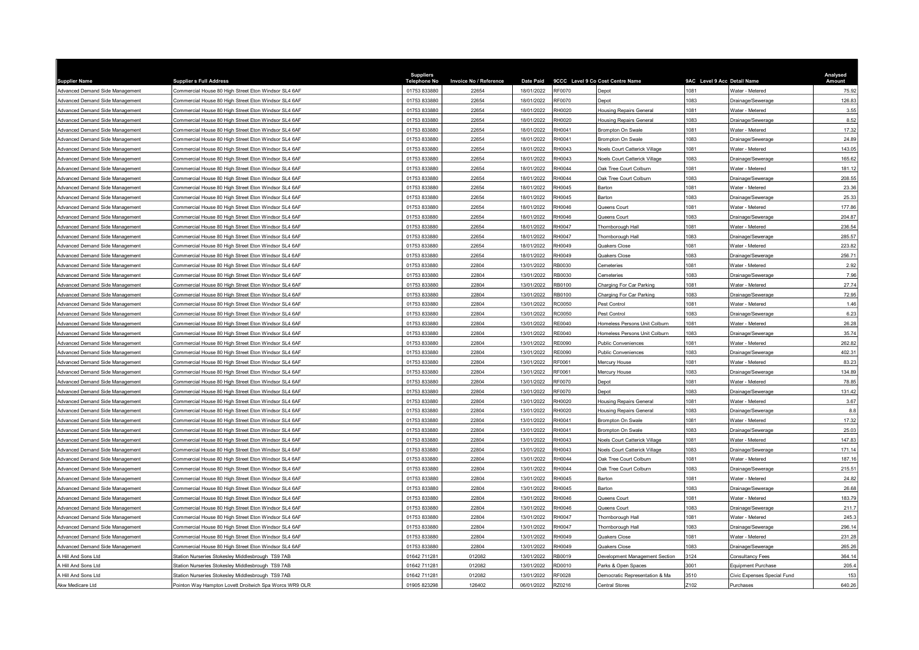| <b>Supplier Name</b>            | <b>Supplier s Full Address</b>                         | <b>Suppliers</b><br>ne No<br>Telepho | Invoice No / Reference | <b>Date Paid</b> |                 | 9CCC Level 9 Co Cost Centre Name     | 9AC Level 9 Acc Detail Name |                             | Analysed<br>Amount |
|---------------------------------|--------------------------------------------------------|--------------------------------------|------------------------|------------------|-----------------|--------------------------------------|-----------------------------|-----------------------------|--------------------|
| Advanced Demand Side Management | Commercial House 80 High Street Eton Windsor SL4 6AF   | 01753 833880                         | 22654                  | 18/01/2022       | RF0070          | <b>Depot</b>                         | 1081                        | Water - Metered             | 75.92              |
| Advanced Demand Side Management | Commercial House 80 High Street Eton Windsor SL4 6AF   | 01753 833880                         | 22654                  | 18/01/2022       | RF0070          | <b>Depot</b>                         | 1083                        | Drainage/Sewerage           | 126.83             |
| Advanced Demand Side Management | Commercial House 80 High Street Eton Windsor SL4 6AF   | 01753 833880                         | 22654                  | 18/01/2022       | H0020           | Housing Repairs General              | 1081                        | Water - Metered             | 3.55               |
| Advanced Demand Side Management | Commercial House 80 High Street Eton Windsor SL4 6AF   | 01753 833880                         | 22654                  | 18/01/2022       | RH0020          | <b>Housing Repairs General</b>       | 1083                        | Drainage/Sewerage           | 8.52               |
| Advanced Demand Side Management | Commercial House 80 High Street Eton Windsor SL4 6AF   | 01753 833880                         | 22654                  | 18/01/2022       | RH0041          | Brompton On Swale                    | 1081                        | Water - Metered             | 17.32              |
| Advanced Demand Side Management | Commercial House 80 High Street Eton Windsor SL4 6AF   | 01753 833880                         | 22654                  | 18/01/2022       | RH0041          | Brompton On Swale                    | 1083                        | Drainage/Sewerage           | 24.89              |
| Advanced Demand Side Management | Commercial House 80 High Street Eton Windsor SL4 6AF   | 01753 833880                         | 22654                  | 18/01/2022       | RH0043          | <b>Noels Court Catterick Village</b> | 1081                        | Water - Metered             | 143.05             |
| Advanced Demand Side Management | Commercial House 80 High Street Eton Windsor SL4 6AF   | 01753 833880                         | 22654                  | 18/01/2022       | RH0043          | <b>Noels Court Catterick Village</b> | 1083                        | Drainage/Sewerage           | 165.62             |
| Advanced Demand Side Management | Commercial House 80 High Street Eton Windsor SL4 6AF   | 01753 833880                         | 22654                  | 18/01/2022       | RH0044          | Oak Tree Court Colburn               | 1081                        | Water - Metered             | 181.12             |
| Advanced Demand Side Management | Commercial House 80 High Street Eton Windsor SL4 6AF   | 01753 833880                         | 22654                  | 18/01/2022       | RH0044          | Oak Tree Court Colburn               | 1083                        | Drainage/Sewerage           | 208.55             |
| Advanced Demand Side Management | Commercial House 80 High Street Eton Windsor SL4 6AF   | 01753 833880                         | 22654                  | 18/01/2022       | RH0045          | Barton                               | 081                         | Water - Metered             | 23.36              |
| Advanced Demand Side Management | Commercial House 80 High Street Eton Windsor SL4 6AF   | 01753 833880                         | 22654                  | 18/01/2022       | RH0045          | Barton                               | 1083                        | Drainage/Sewerag            | 25.33              |
| Advanced Demand Side Management | Commercial House 80 High Street Eton Windsor SL4 6AF   | 01753 833880                         | 22654                  | 18/01/2022       | RH0046          | Queens Court                         | 1081                        | Water - Metered             | 177.86             |
| Advanced Demand Side Management | Commercial House 80 High Street Eton Windsor SL4 6AF   | 01753 833880                         | 22654                  | 18/01/2022       | RH0046          | Queens Court                         | 1083                        | Drainage/Sewerage           | 204.87             |
| Advanced Demand Side Management | Commercial House 80 High Street Eton Windsor SL4 6AF   | 01753 833880                         | 22654                  | 18/01/2022       | H0047           | Thornborough Hall                    | 081                         | Water - Metered             | 236.54             |
| Advanced Demand Side Management | Commercial House 80 High Street Eton Windsor SL4 6AF   | 01753 833880                         | 22654                  | 18/01/2022       | H0047           |                                      | 1083                        | Drainage/Sewerage           | 285.57             |
| Advanced Demand Side Management | ommercial House 80 High Street Eton Windsor SL4 6AF    | 01753 833880                         | 22654                  | 18/01/2022       | RH0049          | Thornborough Hall<br>Quakers Close   | 1081                        | Water - Metered             | 223.82             |
|                                 |                                                        |                                      |                        |                  |                 |                                      | 083                         |                             |                    |
| Advanced Demand Side Management | Commercial House 80 High Street Eton Windsor SL4 6AF   | 01753 833880                         | 22654                  | 18/01/2022       | H0049           | Quakers Close                        | 081                         | Drainage/Sewerage           | 256.71             |
| Advanced Demand Side Management | ommercial House 80 High Street Eton Windsor SL4 6AF    | 01753 833880<br>01753 833880         | 22804                  | 13/01/2022       | B0030<br>RB0030 | emeteries                            | 1083                        | Water - Metered             | 2.92               |
| Advanced Demand Side Management | Commercial House 80 High Street Eton Windsor SL4 6AF   |                                      | 22804                  | 13/01/2022       |                 | Cemeteries                           |                             | Drainage/Sewerage           | 7.96               |
| Advanced Demand Side Management | Commercial House 80 High Street Eton Windsor SL4 6AF   | 01753 833880                         | 22804                  | 13/01/2022       | <b>RB0100</b>   | Charging For Car Parking             | 1081                        | Water - Metered             | 27.74              |
| Advanced Demand Side Management | ommercial House 80 High Street Eton Windsor SL4 6AF    | 01753 833880                         | 22804                  | 13/01/2022       | RB0100          | Charging For Car Parking             | 083                         | Drainage/Sewerage           | 72.95              |
| Advanced Demand Side Management | Commercial House 80 High Street Eton Windsor SL4 6AF   | 01753 833880                         | 22804                  | 13/01/2022       | C0050           | Pest Control                         | 1081                        | Water - Metered             | 1.46               |
| Advanced Demand Side Management | Commercial House 80 High Street Eton Windsor SL4 6AF   | 01753 833880                         | 22804                  | 13/01/2022       | C0050           | Pest Control                         | 083                         | Drainage/Sewerage           | 6.23               |
| Advanced Demand Side Management | Commercial House 80 High Street Eton Windsor SL4 6AF   | 01753 833880                         | 22804                  | 13/01/2022       | RE0040          | Homeless Persons Unit Colburn        | 1081                        | Water - Metered             | 26.28              |
| Advanced Demand Side Management | Commercial House 80 High Street Eton Windsor SL4 6AF   | 01753 833880                         | 22804                  | 13/01/2022       | RE0040          | Homeless Persons Unit Colburn        | 083                         | Drainage/Sewerage           | 35.74              |
| Advanced Demand Side Management | Commercial House 80 High Street Eton Windsor SL4 6AF   | 01753 833880                         | 22804                  | 13/01/2022       | RE0090          | Public Conveniences                  | 1081                        | Water - Metered             | 262.82             |
| Advanced Demand Side Management | Commercial House 80 High Street Eton Windsor SL4 6AF   | 01753 833880                         | 22804                  | 13/01/2022       | RE0090          | <b>Public Conveniences</b>           | 1083                        | Drainage/Sewerage           | 402.31             |
| Advanced Demand Side Management | Commercial House 80 High Street Eton Windsor SL4 6AF   | 01753 833880                         | 22804                  | 13/01/2022       | RF0061          | Mercury House                        | 1081                        | Water - Metered             | 83.23              |
| Advanced Demand Side Management | Commercial House 80 High Street Eton Windsor SL4 6AF   | 01753 833880                         | 22804                  | 13/01/2022       | RF0061          | Mercury House                        | 1083                        | Drainage/Sewerage           | 134.89             |
| Advanced Demand Side Management | Commercial House 80 High Street Eton Windsor SL4 6AF   | 01753 833880                         | 22804                  | 13/01/2022       | RF0070          | <b>Depot</b>                         | 1081                        | Water - Metered             | 78.85              |
| Advanced Demand Side Management | Commercial House 80 High Street Eton Windsor SL4 6AF   | 01753 833880                         | 22804                  | 13/01/2022       | RF0070          | <b>Depot</b>                         | 1083                        | Drainage/Sewerage           | 131.42             |
| Advanced Demand Side Management | Commercial House 80 High Street Eton Windsor SL4 6AF   | 01753 833880                         | 22804                  | 13/01/2022       | H0020           | <b>Housing Repairs General</b>       | 1081                        | Water - Metered             | 3.67               |
| Advanced Demand Side Management | Commercial House 80 High Street Eton Windsor SL4 6AF   | 01753 833880                         | 22804                  | 13/01/2022       | H0020           | <b>Housing Repairs General</b>       | 083                         | Drainage/Sewerage           | 8.8                |
| Advanced Demand Side Management | Commercial House 80 High Street Eton Windsor SL4 6AF   | 01753 833880                         | 22804                  | 13/01/2022       | H0041           | <b>Brompton On Swale</b>             | 1081                        | Water - Metered             | 17.32              |
| Advanced Demand Side Management | Commercial House 80 High Street Eton Windsor SL4 6AF   | 01753 833880                         | 22804                  | 13/01/2022       | RH0041          | <b>Brompton On Swale</b>             | 1083                        | Drainage/Sewerage           | 25.03              |
| Advanced Demand Side Management | Commercial House 80 High Street Eton Windsor SL4 6AF   | 01753 833880                         | 22804                  | 13/01/2022       | RH0043          | Noels Court Catterick Village        | 1081                        | Water - Metered             | 147.83             |
| Advanced Demand Side Management | ommercial House 80 High Street Eton Windsor SL4 6AF    | 01753 833880                         | 22804                  | 13/01/2022       | H0043           | <b>Voels Court Catterick Village</b> | 083                         | Drainage/Sewerage           | 171.14             |
| Advanced Demand Side Management | Commercial House 80 High Street Eton Windsor SL4 6AF   | 01753 833880                         | 22804                  | 13/01/2022       | RH0044          | Oak Tree Court Colburr               | 1081                        | Water - Metered             | 187.16             |
| Advanced Demand Side Management | Commercial House 80 High Street Eton Windsor SL4 6AF   | 01753 833880                         | 22804                  | 13/01/2022       | RH0044          | Oak Tree Court Colburn               | 1083                        | Drainage/Sewerage           | 215.51             |
| Advanced Demand Side Management | Commercial House 80 High Street Eton Windsor SL4 6AF   | 01753 833880                         | 22804                  | 13/01/2022       | RH0045          | Barton                               | 1081                        | Water - Metered             | 24.82              |
| Advanced Demand Side Management | Commercial House 80 High Street Eton Windsor SL4 6AF   | 01753 833880                         | 22804                  | 13/01/2022       | H0045           | Barton                               | 1083                        | Drainage/Sewerage           | 26.68              |
| Advanced Demand Side Management | Commercial House 80 High Street Eton Windsor SL4 6AF   | 01753 833880                         | 22804                  | 13/01/2022       | RH0046          | Queens Court                         | 1081                        | Water - Metered             | 183.79             |
| Advanced Demand Side Management | Commercial House 80 High Street Eton Windsor SL4 6AF   | 01753 833880                         | 22804                  | 13/01/2022       | RH0046          | Queens Court                         | 1083                        | Drainage/Sewerage           | 211.7              |
| Advanced Demand Side Management | Commercial House 80 High Street Eton Windsor SL4 6AF   | 01753 833880                         | 22804                  | 13/01/2022       | RH0047          | Thornborough Hall                    | 081                         | Water - Metered             | 245.3              |
| Advanced Demand Side Management | Commercial House 80 High Street Eton Windsor SL4 6AF   | 01753 833880                         | 22804                  | 13/01/2022       | RH0047          | Thornborough Hall                    | 1083                        | Drainage/Sewerage           | 296.14             |
| Advanced Demand Side Management | Commercial House 80 High Street Eton Windsor SL4 6AF   | 01753 833880                         | 22804                  | 13/01/2022       | H0049           | Quakers Close                        | 1081                        | Water - Metered             | 231.28             |
| Advanced Demand Side Management | Commercial House 80 High Street Eton Windsor SL4 6AF   | 01753 833880                         | 22804                  | 13/01/2022       | RH0049          | Quakers Close                        | 1083                        | Drainage/Sewerage           | 265.26             |
| A Hill And Sons Ltd             | Station Nurseries Stokesley Middlesbrough TS9 7AB      | 01642 711281                         | 012082                 | 13/01/2022       | RB0019          | Development Management Section       | 3124                        | <b>Consultancy Fees</b>     | 364.14             |
| Hill And Sons Ltd               | Station Nurseries Stokesley Middlesbrough TS9 7AB      | 01642 711281                         | 012082                 | 13/01/2022       | RD0010          | Parks & Open Spaces                  | 001                         | <b>Equipment Purchase</b>   | 205.4              |
| A Hill And Sons Ltd             | Station Nurseries Stokesley Middlesbrough TS9 7AB      | 01642 711281                         | 012082                 | 13/01/2022       | RF0028          | Democratic Representation & Ma       | 510                         | Civic Expenses Special Fund | 153                |
| Akw Medicare Ltd                | Pointon Way Hampton Lovett Droitwich Spa Worcs WR9 OLR | 01905 823298                         | 126402                 | 06/01/2022       | RZ0216          | Central Stores                       | Z102                        | Purchases                   | 640.26             |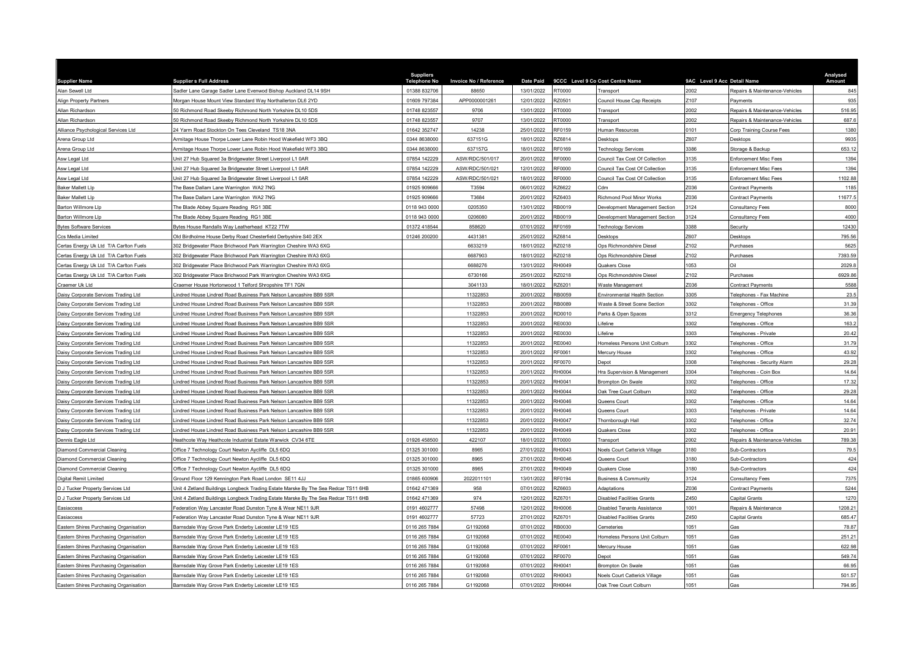| <b>Supplier Name</b>                                                         | <b>Supplier s Full Address</b>                                                                                                         | <b>Suppliers</b><br><b>Telephone No</b> | Invoice No / Reference | <b>Date Paid</b>         |                | 9CCC Level 9 Co Cost Centre Name                  | 9AC Level 9 Acc Detail Name |                                            | Analysed<br>Amount |
|------------------------------------------------------------------------------|----------------------------------------------------------------------------------------------------------------------------------------|-----------------------------------------|------------------------|--------------------------|----------------|---------------------------------------------------|-----------------------------|--------------------------------------------|--------------------|
| Alan Sewell Ltd                                                              | Sadler Lane Garage Sadler Lane Evenwod Bishop Auckland DL14 9SH                                                                        | 01388 832706                            | 88650                  | 13/01/2022               | 00001          | Transport                                         | 2002                        | Repairs & Maintenance-Vehicles             | 845                |
| <b>Align Property Partners</b>                                               | Morgan House Mount View Standard Way Northallerton DL6 2YD                                                                             | 01609 797384                            | APP0000001261          | 12/01/2022               | <b>220501</b>  | Council House Cap Receipts                        | Z107                        | Payments                                   | 935                |
| Allan Richardson                                                             | 50 Richmond Road Skeeby Richmond North Yorkshire DL10 5DS                                                                              | 01748 823557                            | 9706                   | 13/01/2022               | T0000          | Transport                                         | 2002                        | Repairs & Maintenance-Vehicles             | 516.95             |
| Allan Richardson                                                             | 50 Richmond Road Skeeby Richmond North Yorkshire DL10 5DS                                                                              | 01748 823557                            | 9707                   | 13/01/2022               | RT0000         | Transport                                         | 2002                        | Repairs & Maintenance-Vehicles             | 687.6              |
| Alliance Psychological Services Ltd                                          | 24 Yarm Road Stockton On Tees Cleveland TS18 3NA                                                                                       | 01642 352747                            | 14238                  | 25/01/2022               | RF0159         | Human Resources                                   | 101                         | Corp Training Course Fees                  | 1380               |
| Arena Group Ltd                                                              | Armitage House Thorpe Lower Lane Robin Hood Wakefield WF3 3BQ                                                                          | 0344 8638000                            | 637151G                | 18/01/2022               | <b>Z6814</b>   | <b>Desktops</b>                                   | Z607                        | <b>Desktops</b>                            | 9935               |
| Arena Group Ltd                                                              | Armitage House Thorpe Lower Lane Robin Hood Wakefield WF3 3BQ                                                                          | 0344 8638000                            | 637157G                | 18/01/2022               | RF0169         | <b>Technology Services</b>                        | 3386                        | Storage & Backup                           | 653.12             |
| Asw Legal Ltd                                                                | Jnit 27 Hub Squared 3a Bridgewater Street Liverpool L1 0AR                                                                             | 07854 142229                            | ASW/RDC/501/017        | 20/01/2022               | RF0000         | Council Tax Cost Of Collection                    | 3135                        | Enforcement Misc Fees                      | 1394               |
| Asw Legal Ltd                                                                | Jnit 27 Hub Squared 3a Bridgewater Street Liverpool L1 0AR                                                                             | 07854 142229                            | ASW/RDC/501/021        | 12/01/2022               | 3F0000         | Council Tax Cost Of Collection                    | 3135                        | <b>Enforcement Misc Fees</b>               | 1394               |
| Asw Legal Ltd                                                                | Unit 27 Hub Squared 3a Bridgewater Street Liverpool L1 0AR                                                                             | 07854 142229                            | ASW/RDC/501/021        | 18/01/2022               | RF0000         | Council Tax Cost Of Collection                    | 3135                        | <b>Enforcement Misc Fees</b>               | 1102.88            |
| Baker Mallett Lip                                                            | The Base Dallam Lane Warrington WA2 7NG                                                                                                | 01925 909666                            | T3594                  | 06/01/2022               | RZ6622         | 2dm                                               | 2036                        | Contract Payments                          | 1185               |
| <b>Baker Mallett Lip</b>                                                     | The Base Dallam Lane Warrington WA2 7NG                                                                                                | 01925 909666                            | T3684                  | 20/01/2022               | Z6403          | <b>Richmond Pool Minor Works</b>                  | Z036                        | Contract Payments                          | 11677.5            |
| <b>Barton Willmore Llp</b>                                                   | The Blade Abbey Square Reading RG1 3BE                                                                                                 | 0118 943 0000                           | 0205350                | 13/01/2022               | RB0019         | Development Management Section                    | 3124                        | Consultancy Fees                           | 8000               |
| Barton Willmore Llp                                                          | The Blade Abbey Square Reading RG1 3BE                                                                                                 | 0118 943 0000                           | 0206080                | 20/01/2022               | RB0019         | Development Management Section                    | 3124                        | Consultancy Fees                           | 4000               |
| <b>Bytes Software Services</b>                                               | Bytes House Randalls Way Leatherhead KT22 7TW                                                                                          | 01372 418544                            | 858620                 | 07/01/2022               | RF0169         | <b>Technology Services</b>                        | 3388                        | Security                                   | 12430              |
| Ccs Media Limited                                                            | Old Birdholme House Derby Road Chesterfield Derbyshire S40 2EX                                                                         | 01246 200200                            | 4431381                | 25/01/2022               | RZ6814         | <b>Desktops</b>                                   | 2607                        | Desktops                                   | 795.56             |
| Certas Energy Uk Ltd T/A Carlton Fuels                                       | 302 Bridgewater Place Brichwood Park Warrington Cheshire WA3 6XG                                                                       |                                         | 6633219                | 18/01/2022               | RZ0218         | Ops Richmondshire Diesel                          | Z102                        | Purchases                                  | 5625               |
| Certas Energy Uk Ltd T/A Carlton Fuels                                       | 302 Bridgewater Place Brichwood Park Warrington Cheshire WA3 6XG                                                                       |                                         | 6687903                | 18/01/2022               | RZ0218         | Ops Richmondshire Diesel                          | 2102                        | Purchases                                  | 7393.59            |
| Certas Energy Uk Ltd T/A Carlton Fuels                                       | 302 Bridgewater Place Brichwood Park Warrington Cheshire WA3 6XG                                                                       |                                         | 6688276                | 13/01/2022               | H0049          | Quakers Close                                     | 1053                        |                                            | 2029.8             |
| Certas Energy Uk Ltd T/A Carlton Fuels                                       | 302 Bridgewater Place Brichwood Park Warrington Cheshire WA3 6XG                                                                       |                                         | 6730166                | 25/01/2022               | <b>Z20218</b>  | Ops Richmondshire Diesel                          | Z102                        | Purchases                                  | 6929.86            |
| Craemer Uk Ltd                                                               | Craemer House Hortonwood 1 Telford Shropshire TF1 7GN                                                                                  |                                         | 3041133                | 18/01/2022               | <b>Z6201</b>   | Waste Management                                  | Z036                        | <b>Contract Payments</b>                   | 5588               |
| Daisy Corporate Services Trading Ltd                                         | indred House Lindred Road Business Park Nelson Lancashire BB9 5SR                                                                      |                                         | 11322853               | 20/01/2022               | RB0059         | Environmental Health Section                      | 3305                        | Felephones - Fax Machine                   | 23.5               |
| Daisy Corporate Services Trading Ltd                                         | indred House Lindred Road Business Park Nelson Lancashire BB9 5SR                                                                      |                                         | 11322853               | 20/01/2022               | B0089          | Waste & Street Scene Section                      | 3302                        | elephones - Office                         | 31.39              |
| Daisy Corporate Services Trading Ltd                                         | indred House Lindred Road Business Park Nelson Lancashire BB9 5SR                                                                      |                                         | 11322853               | 20/01/2022               | RD0010         | Parks & Open Spaces                               | 3312                        | <b>Emergency Telephones</b>                | 36.36              |
| Daisy Corporate Services Trading Ltd                                         | indred House Lindred Road Business Park Nelson Lancashire BB9 5SR                                                                      |                                         | 11322853               | 20/01/2022               | RE0030         | ifeline                                           | 3302                        | Telephones - Office                        | 163.2              |
| Daisy Corporate Services Trading Ltd                                         | indred House Lindred Road Business Park Nelson Lancashire BB9 5SR                                                                      |                                         | 11322853               | 20/01/2022               | <b>RE0030</b>  | ifeline                                           | 3303                        | elephones - Private                        | 20.42              |
| Daisy Corporate Services Trading Ltd                                         | indred House Lindred Road Business Park Nelson Lancashire BB9 5SR                                                                      |                                         | 11322853               | 20/01/2022               | RE0040         | Homeless Persons Unit Colburn                     | 3302                        | Felephones - Office                        | 31.79              |
| Daisy Corporate Services Trading Ltd                                         | indred House Lindred Road Business Park Nelson Lancashire BB9 5SR                                                                      |                                         | 11322853               | 20/01/2022               | RF0061         | Mercury House                                     | 3302                        | elephones - Office                         | 43.92              |
| Daisy Corporate Services Trading Ltd                                         | indred House Lindred Road Business Park Nelson Lancashire BB9 5SR                                                                      |                                         | 11322853               | 20/01/2022               | RF0070         | Depot                                             | 3308                        | Felephones - Security Alarm                | 29.28              |
|                                                                              |                                                                                                                                        |                                         | 11322853               |                          | H0004          |                                                   | 3304                        |                                            | 14.64              |
| Daisy Corporate Services Trading Ltd<br>Daisy Corporate Services Trading Ltd | indred House Lindred Road Business Park Nelson Lancashire BB9 5SR<br>indred House Lindred Road Business Park Nelson Lancashire BB9 5SR |                                         | 11322853               | 20/01/2022<br>20/01/2022 | RH0041         | Hra Supervision & Management<br>Brompton On Swale | 3302                        | elephones - Coin Box<br>elephones - Office | 17.32              |
|                                                                              |                                                                                                                                        |                                         | 11322853               |                          | H0044          |                                                   | 3302                        |                                            | 29.28              |
| Daisy Corporate Services Trading Ltd                                         | indred House Lindred Road Business Park Nelson Lancashire BB9 5SR                                                                      |                                         | 11322853               | 20/01/2022               | RH0046         | Oak Tree Court Colburn                            | 3302                        | elephones - Office                         | 14.64              |
| Daisy Corporate Services Trading Ltd                                         | indred House Lindred Road Business Park Nelson Lancashire BB9 5SR                                                                      |                                         |                        | 20/01/2022               |                | Queens Court                                      |                             | Felephones - Office                        |                    |
| Daisy Corporate Services Trading Ltd                                         | indred House Lindred Road Business Park Nelson Lancashire BB9 5SR                                                                      |                                         | 11322853               | 20/01/2022               | H0046          | Queens Court                                      | 3303<br>3302                | elephones - Private                        | 14.64              |
| Daisy Corporate Services Trading Ltd                                         | indred House Lindred Road Business Park Nelson Lancashire BB9 5SR                                                                      |                                         | 11322853               | 20/01/2022               | H0047<br>H0049 | Thornborough Hall                                 | 3302                        | elephones - Office                         | 32.74<br>20.91     |
| Daisy Corporate Services Trading Ltd                                         | indred House Lindred Road Business Park Nelson Lancashire BB9 5SR                                                                      |                                         | 11322853               | 20/01/2022               |                | Quakers Close                                     |                             | Felephones - Office                        |                    |
| Dennis Eagle Ltd                                                             | Heathcote Way Heathcote Industrial Estate Warwick CV34 6TE                                                                             | 01926 458500                            | 422107                 | 18/01/2022               | T0000          | Transport                                         | 2002                        | Repairs & Maintenance-Vehicles             | 789.38             |
| Diamond Commercial Cleaning                                                  | Office 7 Technology Court Newton Aycliffe DL5 6DQ                                                                                      | 01325 301000                            | 8965                   | 27/01/2022               | H0043          | Noels Court Catterick Village                     | 3180                        | Sub-Contractors                            | 79.5               |
| Diamond Commercial Cleaning                                                  | Office 7 Technology Court Newton Aycliffe DL5 6DQ                                                                                      | 01325 301000                            | 8965                   | 27/01/2022               | H0046          | Queens Court                                      | 3180                        | Sub-Contractors                            | 424                |
| <b>Diamond Commercial Cleaning</b>                                           | Office 7 Technology Court Newton Aycliffe DL5 6DQ                                                                                      | 01325 301000                            | 8965                   | 27/01/2022               | RH0049         | <b>Quakers Close</b>                              | 3180                        | Sub-Contractors                            | 424                |
| Digital Remit Limited                                                        | Ground Floor 129 Kennington Park Road London SE11 4JJ                                                                                  | 01865 600906                            | 2022011101             | 13/01/2022               | RF0194         | <b>Business &amp; Community</b>                   | 3124                        | Consultancy Fees                           | 7375               |
| D J Tucker Property Services Ltd                                             | Unit 4 Zetland Buildings Longbeck Trading Estate Marske By The Sea Redcar TS11 6HB                                                     | 01642 471369                            | 958                    | 07/01/2022               | <b>Z6603</b>   | Adaptations                                       | Z036                        | Contract Payments                          | 5244               |
| D J Tucker Property Services Ltd                                             | Jnit 4 Zetland Buildings Longbeck Trading Estate Marske By The Sea Redcar TS11 6HB                                                     | 01642 471369                            | 974                    | 12/01/2022               | <b>Z6701</b>   | <b>Disabled Facilities Grants</b>                 | Z450                        | Capital Grants                             | 1270               |
| Easiaccess                                                                   | Federation Way Lancaster Road Dunston Tyne & Wear NE11 9JR                                                                             | 0191 4602777                            | 57498                  | 12/01/2022               | H0006          | <b>Disabled Tenants Assistance</b>                | 1001                        | Repairs & Maintenance                      | 1208.21            |
| Easiaccess                                                                   | Federation Way Lancaster Road Dunston Tyne & Wear NE11 9JR                                                                             | 0191 4602777                            | 57723                  | 27/01/2022               | RZ6701         | <b>Disabled Facilities Grants</b>                 | Z450                        | Capital Grants                             | 685.47             |
| Eastern Shires Purchasing Organisation                                       | Barnsdale Way Grove Park Enderby Leicester LE19 1ES                                                                                    | 0116 265 7884                           | G1192068               | 07/01/2022               | RB0030         | emeteries?                                        | 1051                        | Gas                                        | 78.87              |
| Eastern Shires Purchasing Organisation                                       | Barnsdale Way Grove Park Enderby Leicester LE19 1ES                                                                                    | 0116 265 7884                           | G1192068               | 07/01/2022               | RE0040         | Homeless Persons Unit Colburn                     | 1051                        | <b>GRE</b>                                 | 251.21             |
| Eastern Shires Purchasing Organisation                                       | Barnsdale Way Grove Park Enderby Leicester LE19 1ES                                                                                    | 0116 265 7884                           | G1192068               | 07/01/2022               | RF0061         | Mercury House                                     | 1051                        | Gas                                        | 622.98             |
| Eastern Shires Purchasing Organisation                                       | Barnsdale Way Grove Park Enderby Leicester LE19 1ES                                                                                    | 0116 265 7884                           | G1192068               | 07/01/2022               | RF0070         | Depot                                             | 1051                        | Gas                                        | 549.74             |
| Eastern Shires Purchasing Organisation                                       | Barnsdale Way Grove Park Enderby Leicester LE19 1ES                                                                                    | 0116 265 7884                           | G1192068               | 07/01/2022               | RH0041         | Brompton On Swale                                 | 1051                        | Gas                                        | 66.95              |
| Eastern Shires Purchasing Organisation                                       | Barnsdale Way Grove Park Enderby Leicester LE19 1ES                                                                                    | 0116 265 7884                           | G1192068               | 07/01/2022               | H0043          | Noels Court Catterick Village                     | 1051                        | Gas                                        | 501.57             |
| Eastern Shires Purchasing Organisation                                       | Barnsdale Way Grove Park Enderby Leicester LE19 1ES                                                                                    | 0116 265 7884                           | G1192068               | 07/01/2022               | RH0044         | Oak Tree Court Colburn                            | 1051                        | Gas                                        | 794.95             |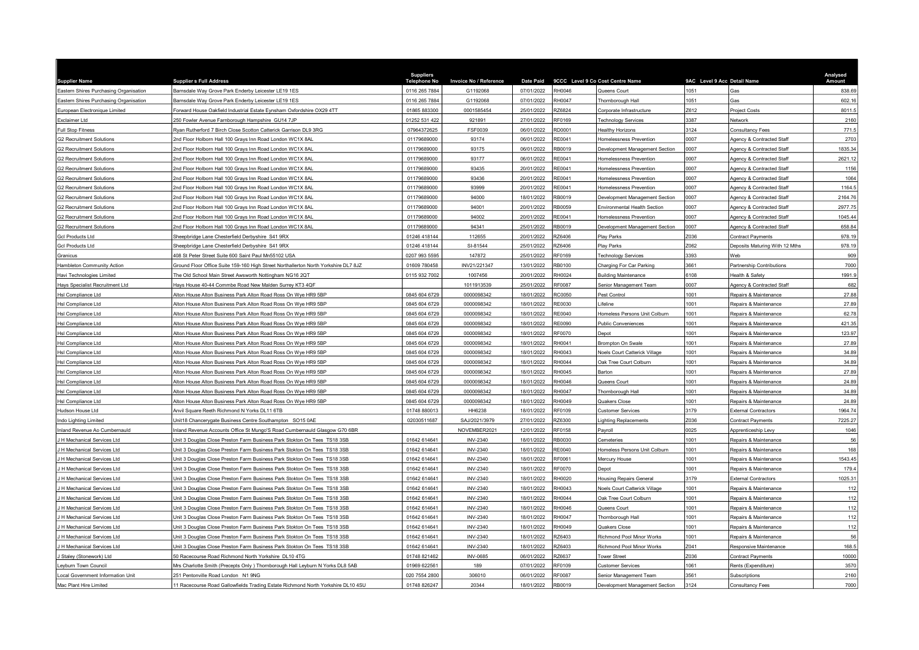| <b>Supplier Name</b>                   | <b>Supplier s Full Address</b>                                                      | <b>Suppliers</b><br><b>Telephone No</b> | Invoice No / Reference | <b>Date Paid</b> |               | 9CCC Level 9 Co Cost Centre Name | 9AC Level 9 Acc Detail Name |                                  | Analysed<br>Amount |
|----------------------------------------|-------------------------------------------------------------------------------------|-----------------------------------------|------------------------|------------------|---------------|----------------------------------|-----------------------------|----------------------------------|--------------------|
| Eastern Shires Purchasing Organisation | Barnsdale Way Grove Park Enderby Leicester LE19 1ES                                 | 0116 265 7884                           | G1192068               | 07/01/2022       | RH0046        | Queens Court                     | 1051                        | Gas                              | 838.69             |
| Eastern Shires Purchasing Organisation | Barnsdale Way Grove Park Enderby Leicester LE19 1ES                                 | 0116 265 7884                           | G1192068               | 07/01/2022       | RH0047        | Thornborough Hall                | 1051                        | Gas                              | 602.16             |
| European Electronique Limited          | Forward House Oakfield Industrial Estate Eynsham Oxfordshire OX29 4TT               | 01865 883300                            | 0001585454             | 25/01/2022       | Z6824         | Corporate Infrastructure         | Z612                        | Project Costs                    | 8011.5             |
| Exclaimer Ltd                          | 250 Fowler Avenue Farnborough Hampshire GU14 7JP                                    | 01252 531 422                           | 921891                 | 27/01/2022       | RF0169        | <b>Technology Services</b>       | 3387                        | Network                          | 2160               |
| <b>Full Stop Fitness</b>               | Ryan Rutherford 7 Birch Close Scotton Catterick Garrison DL9 3RG                    | 07964372625                             | FSF0039                | 06/01/2022       | RD0001        | Healthy Horizons                 | 3124                        | <b>Consultancy Fees</b>          | 771.5              |
| <b>G2 Recruitment Solutions</b>        | 2nd Floor Holborn Hall 100 Grays Inn Road London WC1X 8AL                           | 01179689000                             | 93174                  | 06/01/2022       | RE0041        | Homelessness Prevention          | 0007                        | Agency & Contracted Staff        | 2703               |
| <b>G2 Recruitment Solutions</b>        | 2nd Floor Holborn Hall 100 Grays Inn Road London WC1X 8AL                           | 01179689000                             | 93175                  | 06/01/2022       | RB0019        | Development Management Section   | 0007                        | Agency & Contracted Staff        | 1835.34            |
| <b>G2 Recruitment Solutions</b>        | 2nd Floor Holborn Hall 100 Grays Inn Road London WC1X 8AL                           | 01179689000                             | 93177                  | 06/01/2022       | RE0041        | Homelessness Prevention          | 0007                        | Agency & Contracted Staff        | 2621.12            |
| <b>G2 Recruitment Solutions</b>        | 2nd Floor Holborn Hall 100 Grays Inn Road London WC1X 8AL                           | 01179689000                             | 93435                  | 20/01/2022       | RE0041        | Homelessness Prevention          | 0007                        | Agency & Contracted Staff        | 1156               |
| <b>G2 Recruitment Solutions</b>        | 2nd Floor Holborn Hall 100 Grays Inn Road London WC1X 8AL                           | 01179689000                             | 93436                  | 20/01/2022       | RE0041        | Homelessness Prevention          | 0007                        | Agency & Contracted Staff        | 1064               |
| <b>G2 Recruitment Solutions</b>        | 2nd Floor Holborn Hall 100 Grays Inn Road London WC1X 8AL                           | 01179689000                             | 93999                  | 20/01/2022       | RE0041        | Homelessness Prevention          | 0007                        | Agency & Contracted Staff        | 1164.5             |
| <b>G2 Recruitment Solutions</b>        | 2nd Floor Holborn Hall 100 Grays Inn Road London WC1X 8AL                           | 01179689000                             | 94000                  | 18/01/2022       | RB0019        | Development Management Section   | 0007                        | Agency & Contracted Staff        | 2164.76            |
| <b>G2 Recruitment Solutions</b>        | 2nd Floor Holborn Hall 100 Grays Inn Road London WC1X 8AL                           | 01179689000                             | 94001                  | 20/01/2022       | RB0059        | Environmental Health Section     | 0007                        | Agency & Contracted Staff        | 2977.75            |
| <b>G2 Recruitment Solutions</b>        | 2nd Floor Holborn Hall 100 Grays Inn Road London WC1X 8AL                           | 01179689000                             | 94002                  | 20/01/2022       | RE0041        | Homelessness Prevention          | 0007                        | Agency & Contracted Staff        | 1045.44            |
| <b>G2 Recruitment Solutions</b>        | 2nd Floor Holborn Hall 100 Grays Inn Road London WC1X 8AL                           | 01179689000                             | 94341                  | 25/01/2022       | RB0019        | Development Management Section   | 0007                        | Agency & Contracted Staff        | 658.84             |
| <b>Gcl Products Ltd</b>                | Sheepbridge Lane Chesterfield Derbyshire S41 9RX                                    | 01246 418144                            | 112655                 | 20/01/2022       | RZ6406        | Play Parks                       | 7036                        | <b>Contract Payments</b>         | 978.19             |
| <b>Gcl Products Ltd</b>                | Sheepbridge Lane Chesterfield Derbyshire S41 9RX                                    | 01246 418144                            | SI-81544               | 25/01/2022       | 376406        | Play Parks                       | Z062                        | Deposits Maturing With 12 Mths   | 978.19             |
| Granicus                               | 408 St Peter Street Suite 600 Saint Paul Mn55102 USA                                | 0207 993 5595                           | 147872                 | 25/01/2022       | RF0169        | <b>Technology Services</b>       | 3393                        | Web                              | 909                |
| Hambleton Community Action             | Ground Floor Office Suite 159-160 High Street Northallerton North Yorkshire DL7 8JZ | 01609 780458                            | INV21/221347           | 13/01/2022       | <b>B0100</b>  | Charging For Car Parking         | 661                         | Partnership Contributions        | 7000               |
| Havi Technologies Limited              | The Old School Main Street Awsworth Nottingham NG16 2QT                             | 0115 932 7002                           | 1007456                | 20/01/2022       | RH0024        | <b>Building Maintenance</b>      | 6108                        | Health & Safety                  | 1991.9             |
| Hays Specialist Recruitment Ltd        | Hays House 40-44 Commbe Road New Malden Surrey KT3 4QF                              |                                         | 1011913539             | 25/01/2022       | RF0087        | Senior Management Team           | 0007                        | Agency & Contracted Staff        | 682                |
| Hsl Compliance Ltd                     | Alton House Alton Business Park Alton Road Ross On Wye HR9 5BP                      | 0845 604 6729                           | 0000098342             | 18/01/2022       | <b>C0050</b>  | Pest Control                     | 1001                        | <b>Repairs &amp; Maintenance</b> | 27.88              |
| Hsl Compliance Ltd                     | Alton House Alton Business Park Alton Road Ross On Wye HR9 5BP                      | 0845 604 6729                           | 0000098342             | 18/01/2022       | <b>RE0030</b> | .ifeline                         | 1001                        | Repairs & Maintenance            | 27.89              |
| Hsl Compliance Ltd                     | Alton House Alton Business Park Alton Road Ross On Wye HR9 5BP                      | 0845 604 6729                           | 0000098342             | 18/01/2022       | <b>RE0040</b> | Homeless Persons Unit Colburn    | 1001                        | Repairs & Maintenance            | 62.78              |
| Hsl Compliance Ltd                     | Alton House Alton Business Park Alton Road Ross On Wye HR9 5BP                      | 0845 604 6729                           | 0000098342             | 18/01/2022       | RE0090        | <b>Public Conveniences</b>       | 1001                        | Repairs & Maintenance            | 421.35             |
| Hsl Compliance Ltd                     | Alton House Alton Business Park Alton Road Ross On Wye HR9 5BP                      | 0845 604 6729                           | 0000098342             | 18/01/2022       | RF0070        | Depot                            | 1001                        | Repairs & Maintenance            | 123.97             |
| Hsl Compliance Ltd                     | Alton House Alton Business Park Alton Road Ross On Wye HR9 5BP                      | 0845 604 6729                           | 0000098342             | 18/01/2022       | H0041         | Brompton On Swale                | 1001                        | Repairs & Maintenance            | 27.89              |
| Hsl Compliance Ltd                     | Alton House Alton Business Park Alton Road Ross On Wye HR9 5BP                      | 0845 604 6729                           | 0000098342             | 18/01/2022       | RH0043        | Noels Court Catterick Village    | 1001                        | Repairs & Maintenance            | 34.89              |
| Hsl Compliance Ltd                     | Alton House Alton Business Park Alton Road Ross On Wye HR9 5BP                      | 0845 604 6729                           | 0000098342             | 18/01/2022       | RH0044        | Oak Tree Court Colburn           | 1001                        | Repairs & Maintenance            | 34.89              |
| Hsl Compliance Ltd                     | Alton House Alton Business Park Alton Road Ross On Wye HR9 5BP                      | 0845 604 6729                           | 0000098342             | 18/01/2022       | RH0045        | Barton                           | 1001                        | Repairs & Maintenance            | 27.89              |
| Hsl Compliance Ltd                     | Alton House Alton Business Park Alton Road Ross On Wye HR9 5BP                      | 0845 604 6729                           | 0000098342             | 18/01/2022       | H0046         | Queens Court                     | 1001                        | Repairs & Maintenance            | 24.89              |
| Hsl Compliance Ltd                     | Alton House Alton Business Park Alton Road Ross On Wye HR9 5BP                      | 0845 604 6729                           | 0000098342             | 18/01/2022       | RH0047        | Thornborough Hall                | 1001                        | Repairs & Maintenance            | 34.89              |
| Hsl Compliance Ltd                     | Alton House Alton Business Park Alton Road Ross On Wye HR9 5BP                      | 0845 604 6729                           | 0000098342             | 18/01/2022       | RH0049        | Quakers Close                    | 1001                        | Repairs & Maintenance            | 24.89              |
| Hudson House Ltd                       | Anvil Square Reeth Richmond N Yorks DL11 6TB                                        | 01748 880013                            | HH6238                 | 18/01/2022       | RF0109        | <b>Customer Services</b>         | 3179                        | <b>External Contractors</b>      | 1964.74            |
| Indo Lighting Limited                  | Jnit18 Chancerygate Business Centre Southampton SO15 0AE                            | 02030511687                             | SAJ/2021/3979          | 27/01/2022       | <b>226300</b> | ighting Replacements             | Z036                        | Contract Payments                | 7225.27            |
| Inland Revenue Ao Cumbernauld          | nland Revenue Accounts Office St Mungo'S Road Cumbernauld Glasgow G70 6BR           |                                         | NOVEMBER2021           | 12/01/2022       | RF0158        | Pavroll                          | 0025                        | Apprenticeship Levy              | 1046               |
| H Mechanical Services Ltd              | Unit 3 Douglas Close Preston Farm Business Park Stokton On Tees TS18 3SB            | 01642 614641                            | <b>INV-2340</b>        | 18/01/2022       | RB0030        | Cemeteries                       | 1001                        | Repairs & Maintenance            | 56                 |
| H Mechanical Services I td             | Jnit 3 Douglas Close Preston Farm Business Park Stokton On Tees TS18 3SB            | 01642 614641                            | <b>INV-2340</b>        | 18/01/2022       | RE0040        | Homeless Persons Unit Colburn    | 001                         | Repairs & Maintenance            | 168                |
| J H Mechanical Services Ltd            | Unit 3 Douglas Close Preston Farm Business Park Stokton On Tees TS18 3SB            | 01642 614641                            | <b>INV-2340</b>        | 18/01/2022       | RF0061        | Mercury House                    | 1001                        | Repairs & Maintenance            | 1543.45            |
| J H Mechanical Services Ltd            | Unit 3 Douglas Close Preston Farm Business Park Stokton On Tees TS18 3SB            | 01642 614641                            | <b>INV-2340</b>        | 18/01/2022       | RF0070        | Depot                            | 1001                        | Repairs & Maintenance            | 179.4              |
| H Mechanical Services Ltd              | Jnit 3 Douglas Close Preston Farm Business Park Stokton On Tees TS18 3SB            | 01642 614641                            | <b>INV-2340</b>        | 18/01/2022       | RH0020        | <b>Housing Repairs General</b>   | 3179                        | <b>External Contractors</b>      | 1025.31            |
| H Mechanical Services Ltd              | Jnit 3 Douglas Close Preston Farm Business Park Stokton On Tees TS18 3SB            | 01642 614641                            | <b>INV-2340</b>        | 18/01/2022       | RH0043        | Noels Court Catterick Village    | 1001                        | Repairs & Maintenance            | 112                |
| J H Mechanical Services Ltd            | Unit 3 Douglas Close Preston Farm Business Park Stokton On Tees TS18 3SB            | 01642 614641                            | <b>INV-2340</b>        | 18/01/2022       | RH0044        | Oak Tree Court Colburn           | 1001                        | Repairs & Maintenance            | 112                |
| J H Mechanical Services Ltd            | Jnit 3 Douglas Close Preston Farm Business Park Stokton On Tees TS18 3SB            | 01642 614641                            | <b>INV-2340</b>        | 18/01/2022       | 8H0046        | Queens Court                     | 1001                        | Repairs & Maintenance            | 112                |
| J H Mechanical Services Ltd            | Unit 3 Douglas Close Preston Farm Business Park Stokton On Tees TS18 3SB            | 01642 614641                            | INV-2340               | 18/01/2022       | RH0047        | Thornborough Hall                | 001                         | Repairs & Maintenance            | 112                |
| H Mechanical Services Ltd              | Jnit 3 Douglas Close Preston Farm Business Park Stokton On Tees TS18 3SB            | 01642 614641                            | <b>INV-2340</b>        | 18/01/2022       | RH0049        | Quakers Close                    | 1001                        | Repairs & Maintenance            | 112                |
| J H Mechanical Services Ltd            | Unit 3 Douglas Close Preston Farm Business Park Stokton On Tees TS18 3SB            | 01642 614641                            | <b>INV-2340</b>        | 18/01/2022       | <b>Z6403</b>  | Richmond Pool Minor Works        | 1001                        | Repairs & Maintenance            | 56                 |
| J H Mechanical Services Ltd            | Unit 3 Douglas Close Preston Farm Business Park Stokton On Tees TS18 3SB            | 01642 614641                            | <b>INV-2340</b>        | 18/01/2022       | <b>226403</b> | Richmond Pool Minor Works        | Z041                        | Responsive Maintenance           | 168.5              |
| J Staley (Stonework) Ltd               | 50 Racecourse Road Richmond North Yorkshire DL10 4TG                                | 01748 821462                            | <b>INV-0685</b>        | 06/01/2022       | <b>226637</b> | <b>Tower Street</b>              | Z036                        | Contract Payments                | 10000              |
| Leyburn Town Council                   | Mrs Charlotte Smith (Precepts Only) Thornborough Hall Leyburn N Yorks DL8 5AB       | 01969 622561                            | 189                    | 07/01/2022       | RF0109        | <b>Customer Services</b>         | 1061                        | Rents (Expenditure)              | 3570               |
| Local Government Information Unit      | 251 Pentonville Road London N1 9NG                                                  | 020 7554 2800                           | 306010                 | 06/01/2022       | RF0087        | Senior Management Team           | 3561                        | Subscriptions                    | 2160               |
| Mac Plant Hire Limited                 | 11 Racecourse Road Gallowfields Trading Estate Richmond North Yorkshire DL10 4SU    | 01748 826247                            | 20344                  | 18/01/2022       | RB0019        | Development Management Section   | 3124                        | <b>Consultancy Fees</b>          | 7000               |
|                                        |                                                                                     |                                         |                        |                  |               |                                  |                             |                                  |                    |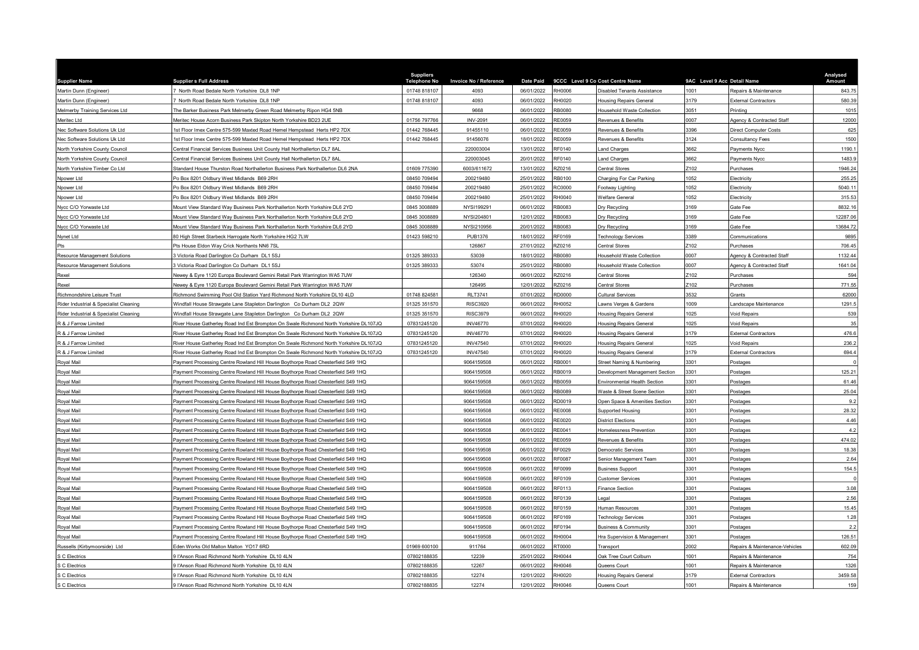| <b>Supplier Name</b>                   | <b>Supplier s Full Address</b>                                                                                                                                       | <b>Suppliers</b><br><b>Telephone No</b> | Invoice No / Reference   | <b>Date Paid</b>         |                  | 9CCC Level 9 Co Cost Centre Name                               | 9AC Level 9 Acc Detail Name |                                | Analysed    |
|----------------------------------------|----------------------------------------------------------------------------------------------------------------------------------------------------------------------|-----------------------------------------|--------------------------|--------------------------|------------------|----------------------------------------------------------------|-----------------------------|--------------------------------|-------------|
| Martin Dunn (Engineer)                 | 7 North Road Bedale North Yorkshire DL8 1NP                                                                                                                          | 01748 818107                            | 4093                     | 06/01/2022               | RH0006           | Disabled Tenants Assistance                                    | 1001                        | Repairs & Maintenance          | 843.75      |
| Martin Dunn (Engineer)                 | 7 North Road Bedale North Yorkshire DL8 1NP                                                                                                                          | 01748 818107                            | 4093                     | 06/01/2022               | RH0020           | Housing Repairs General                                        | 3179                        | <b>External Contractors</b>    | 580.39      |
| Melmerby Training Services Ltd         | The Barker Business Park Melmerby Green Road Melmerby Ripon HG4 5NB                                                                                                  |                                         | 9668                     | 06/01/2022               | RB0080           | lousehold Waste Collection                                     | 3051                        | Printing                       | 1015        |
| Meritec Ltd                            | Meritec House Acorn Business Park Skipton North Yorkshire BD23 2UE                                                                                                   | 01756 797766                            | <b>INV-2091</b>          | 06/01/2022               | RF0059           | Revenues & Benefits                                            | 000                         | Agency & Contracted Staff      | 12000       |
| Nec Software Solutions Uk Ltd          | 1st Floor Imex Centre 575-599 Maxted Road Hemel Hempstead Herts HP2 7DX                                                                                              | 01442 768445                            | 91455110                 | 06/01/2022               | RE0059           | Revenues & Benefits                                            | 3396                        | <b>Direct Computer Costs</b>   | 625         |
| Nec Software Solutions Uk Ltd          | 1st Floor Imex Centre 575-599 Maxted Road Hemel Hempstead Herts HP2 7DX                                                                                              | 01442 768445                            | 91456076                 | 18/01/2022               | RE0059           | Revenues & Benefits                                            | 3124                        | <b>Consultancy Fees</b>        | 1500        |
| North Yorkshire County Council         | Central Financial Services Business Unit County Hall Northallerton DL7 8AL                                                                                           |                                         | 220003004                | 13/01/2022               | <b>RE0140</b>    | and Charges                                                    | 3662                        | <b>Payments Nycc</b>           | 1190.       |
| North Yorkshire County Council         | Central Financial Services Business Unit County Hall Northallerton DL7 8AL                                                                                           |                                         | 220003045                | 20/01/2022               | RF0140           | and Charges                                                    | 662                         | Payments Nycc                  | 1483.       |
| North Yorkshire Timber Co Ltd          | Standard House Thurston Road Northallerton Business Park Northallerton DL6 2NA                                                                                       | 01609 775390                            | 6003/611672              | 13/01/2022               | Z0216            | Central Stores                                                 | Z <sub>102</sub>            | Purchases                      | 1946.24     |
| Npower Ltd                             | Po Box 8201 Oldbury West Midlands B69 2RH                                                                                                                            | 08450 709494                            | 200219480                | 25/01/2022               | RB0100           | Charging For Car Parking                                       | 1052                        | Electricity                    | 255.25      |
| Npower Ltd                             | Po Box 8201 Oldbury West Midlands B69 2RH                                                                                                                            | 08450 709494                            | 200219480                | 25/01/2022               | <b>C0000</b>     | <b>Footway Lighting</b>                                        | 052                         | Electricity                    | 5040.11     |
| Npower Ltd                             | Po Box 8201 Oldbury West Midlands B69 2RH                                                                                                                            | 08450 709494                            | 200219480                | 25/01/2022               | H0040            | Welfare General                                                | 1052                        | Electricity                    | 315.53      |
| Nycc C/O Yorwaste Ltd                  | Mount View Standard Way Business Park Northallerton North Yorkshire DL6 2YD                                                                                          | 0845 3008889                            | NYSI199291               | 06/01/2022               | RB0083           | Dry Recycling                                                  | 3169                        | Gate Fee                       | 8832.16     |
| Nycc C/O Yorwaste Ltd                  | Mount View Standard Way Business Park Northallerton North Yorkshire DL6 2YD                                                                                          | 0845 3008889                            | NYSI204801               | 12/01/2022               | RB0083           | Dry Recycling                                                  | 3169                        | Gate Fee                       | 12287.06    |
| Nycc C/O Yorwaste Ltd                  | Mount View Standard Way Business Park Northallerton North Yorkshire DL6 2YD                                                                                          | 0845 3008889                            | NYSI210956               | 20/01/2022               | B0083            | Dry Recycling                                                  | 169                         | Gate Fee                       | 13684.72    |
| Nynet Ltd                              | 80 High Street Starbeck Harrogate North Yorkshire HG2 7LW                                                                                                            | 01423 598210                            | <b>PUB1376</b>           | 18/01/2022               | RF0169           | echnology Services                                             | 3389                        | Communications                 | 9895        |
| Pts                                    | Pts House Eldon Way Crick Northants NN6 7SL                                                                                                                          |                                         | 126867                   | 27/01/2022               | <b>Z0216</b>     | Central Stores                                                 | Z <sub>102</sub>            | Purchases                      | 706.45      |
| <b>Resource Management Solutions</b>   | 3 Victoria Road Darlington Co Durham DL1 5SJ                                                                                                                         | 01325 389333                            | 53039                    | 18/01/2022               | <b>RB0080</b>    | <b>Household Waste Collection</b>                              | 0007                        | Agency & Contracted Staff      | 1132.44     |
| Resource Management Solutions          | 3 Victoria Road Darlington Co Durham DL1 5SJ                                                                                                                         | 01325 389333                            | 53074                    | 25/01/2022               | <b>B0080</b>     | lousehold Waste Collection                                     | 0007                        | Agency & Contracted Staff      | 1641.04     |
| Rexel                                  | Newey & Eyre 1120 Europa Boulevard Gemini Retail Park Warrington WA5 7UW                                                                                             |                                         | 126340                   | 06/01/2022               | <b>RZ0216</b>    | Central Stores                                                 | Z <sub>102</sub>            | Purchases                      | 594         |
| Rexel                                  | Newey & Eyre 1120 Europa Boulevard Gemini Retail Park Warrington WA5 7UW                                                                                             |                                         | 126495                   | 12/01/2022               | RZ0216           | Central Stores                                                 | Z <sub>102</sub>            | Purchases                      | 771.55      |
| Richmondshire Leisure Trust            | Richmond Swimming Pool Old Station Yard Richmond North Yorkshire DL10 4LD                                                                                            | 01748 824581                            | <b>RLT3741</b>           | 07/01/2022               | <b>DO000</b>     | Cultural Services                                              | 532                         | Grants                         | 62000       |
| Rider Industrial & Specialist Cleaning | Windfall House Strawgate Lane Stapleton Darlington Co Durham DL2 2QW                                                                                                 | 01325 351570                            | <b>RISC3920</b>          | 06/01/2022               | H0052            | awns Verges & Gardens                                          | 1009                        | andscape Maintenance           | 1291.5      |
| Rider Industrial & Specialist Cleaning | Windfall House Strawgate Lane Stapleton Darlington Co Durham DL2 2QW                                                                                                 | 01325 351570                            | <b>RISC3979</b>          | 06/01/2022               | H0020            | <b>Housing Repairs Genera</b>                                  | 1025                        | Void Repairs                   | 539         |
| R & J Farrow Limited                   | River House Gatherley Road Ind Est Brompton On Swale Richmond North Yorkshire DL107JQ                                                                                | 07831245120                             | <b>INV46770</b>          | 07/01/2022               | H0020            | lousing Repairs General                                        | 1025                        | <b>Void Repairs</b>            | 35          |
| R & J Farrow Limited                   | River House Gatherley Road Ind Est Brompton On Swale Richmond North Yorkshire DL107JQ                                                                                | 07831245120                             | <b>INV46770</b>          | 07/01/2022               | H0020            | Housing Repairs General                                        | 3179                        | <b>External Contractors</b>    | 476.6       |
| R & J Farrow Limited                   | River House Gatherley Road Ind Est Brompton On Swale Richmond North Yorkshire DL107JQ                                                                                | 07831245120                             | <b>INV47540</b>          | 07/01/2022               | H0020            | lousing Repairs Genera                                         | 025                         | <b>Void Repairs</b>            | 236.2       |
| R & J Farrow Limited                   | River House Gatherley Road Ind Est Brompton On Swale Richmond North Yorkshire DL107JQ                                                                                | 07831245120                             | <b>INV47540</b>          | 07/01/2022               | H0020            | <b>Housing Repairs General</b>                                 | 3179                        | <b>External Contractors</b>    | 694.4       |
| Royal Mail                             | Payment Processing Centre Rowland Hill House Boythorpe Road Chesterfield S49 1HQ                                                                                     |                                         | 9064159508               | 06/01/2022               | RB0001           | Street Naming & Numbering                                      | 3301                        | Postages                       |             |
|                                        | Payment Processing Centre Rowland Hill House Boythorpe Road Chesterfield S49 1HQ                                                                                     |                                         | 9064159508               | 06/01/2022               | B0019            |                                                                | 3301                        |                                | 125.21      |
| Royal Mail                             |                                                                                                                                                                      |                                         |                          |                          | <b>B0059</b>     | Development Management Section                                 | 301                         | Postages                       | 61.46       |
| Royal Mail                             | Payment Processing Centre Rowland Hill House Boythorpe Road Chesterfield S49 1HQ                                                                                     |                                         | 9064159508<br>9064159508 | 06/01/2022<br>06/01/2022 | <b>B0089</b>     | Environmental Health Section                                   | 301                         | Postages                       | 25.04       |
| Royal Mail                             | Payment Processing Centre Rowland Hill House Boythorpe Road Chesterfield S49 1HQ                                                                                     |                                         | 9064159508               | 06/01/2022               | RD0019           | Waste & Street Scene Section<br>Open Space & Amenities Section | 3301                        | Postages                       | 9.2         |
| Royal Mail                             | Payment Processing Centre Rowland Hill House Boythorpe Road Chesterfield S49 1HQ                                                                                     |                                         |                          |                          | E0008            |                                                                | 301                         | Postages                       |             |
| Royal Mail                             | Payment Processing Centre Rowland Hill House Boythorpe Road Chesterfield S49 1HQ                                                                                     |                                         | 9064159508               | 06/01/2022               |                  | Supported Housing                                              |                             | Postages                       | 28.32       |
| Royal Mail                             | Payment Processing Centre Rowland Hill House Boythorpe Road Chesterfield S49 1HQ<br>Payment Processing Centre Rowland Hill House Boythorpe Road Chesterfield S49 1HQ |                                         | 9064159508<br>9064159508 | 06/01/2022<br>06/01/2022 | RE0020<br>RE0041 | District Flections<br>Homelessness Prevention                  | 301<br>3301                 | Postages                       | 4.46<br>4.2 |
| Royal Mail                             |                                                                                                                                                                      |                                         |                          |                          |                  |                                                                |                             | Postages                       |             |
| Royal Mail                             | Payment Processing Centre Rowland Hill House Boythorpe Road Chesterfield S49 1HQ                                                                                     |                                         | 9064159508               | 06/01/2022               | <b>RE0059</b>    | Revenues & Benefits                                            | 3301                        | Postages                       | 474.02      |
| Royal Mail                             | Payment Processing Centre Rowland Hill House Boythorpe Road Chesterfield S49 1HQ                                                                                     |                                         | 9064159508               | 06/01/2022               | E0029            | Jemocratic Services                                            | 3301                        | Postages                       | 18.38       |
| Royal Mail                             | Payment Processing Centre Rowland Hill House Boythorpe Road Chesterfield S49 1HQ                                                                                     |                                         | 9064159508               | 06/01/2022               | <b>F0087</b>     | Senior Management Team                                         | 3301<br>3301                | Postages                       | 2.64        |
| Royal Mail                             | Payment Processing Centre Rowland Hill House Boythorpe Road Chesterfield S49 1HQ                                                                                     |                                         | 9064159508               | 06/01/2022               | RF0099           | <b>Business Support</b>                                        |                             | Postages                       | 154.5       |
| Royal Mail                             | Payment Processing Centre Rowland Hill House Boythorpe Road Chesterfield S49 1HQ                                                                                     |                                         | 9064159508               | 06/01/2022               | RF0109           | Customer Services                                              | 3301                        | Postages                       |             |
| Royal Mail                             | Payment Processing Centre Rowland Hill House Boythorpe Road Chesterfield S49 1HQ                                                                                     |                                         | 9064159508               | 06/01/2022               | RF0113           | inance Section                                                 | 3301                        | Postages                       | 3.08        |
| Royal Mail                             | Payment Processing Centre Rowland Hill House Boythorpe Road Chesterfield S49 1HQ                                                                                     |                                         | 9064159508               | 06/01/2022               | RF0139           | egal                                                           | 3301                        | Postages                       | 2.56        |
| Royal Mail                             | Payment Processing Centre Rowland Hill House Boythorpe Road Chesterfield S49 1HQ                                                                                     |                                         | 9064159508               | 06/01/2022               | RF0159           | Iuman Resources                                                | 3301                        | Postages                       | 15.45       |
| Royal Mail                             | Payment Processing Centre Rowland Hill House Boythorpe Road Chesterfield S49 1HQ                                                                                     |                                         | 9064159508               | 06/01/2022               | RF0169           | <b>Technology Services</b>                                     | 3301                        | Postages                       | 1.28        |
| Royal Mail                             | Payment Processing Centre Rowland Hill House Boythorpe Road Chesterfield S49 1HQ                                                                                     |                                         | 9064159508               | 06/01/2022               | RF0194           | <b>Business &amp; Community</b>                                | 301                         | Postages                       | 2.2         |
| Royal Mail                             | Payment Processing Centre Rowland Hill House Boythorpe Road Chesterfield S49 1HQ                                                                                     |                                         | 9064159508               | 06/01/2022               | H0004            | Hra Supervision & Management                                   | 3301                        | Postages                       | 126.51      |
| Russells (Kirbymoorside) Ltd           | Eden Works Old Malton Malton YO17 6RD                                                                                                                                | 01969 600100                            | 911764                   | 06/01/2022               | 00007            | Transport                                                      | 2002                        | Repairs & Maintenance-Vehicles | 602.09      |
| S C Electrics                          | I'Anson Road Richmond North Yorkshire DJ 10 4LN                                                                                                                      | 07802188835                             | 12239                    | 25/01/2022               | H0044            | Oak Tree Court Colburn                                         | 1001                        | Repairs & Maintenance          | 754         |
| S C Electrics                          | I'Anson Road Richmond North Yorkshire DL10 4LN                                                                                                                       | 07802188835                             | 12267                    | 06/01/2022               | H0046            | Queens Court                                                   | 1001                        | Repairs & Maintenance          | 1326        |
| S C Electrics                          | 9 l'Anson Road Richmond North Yorkshire DL10 4LN                                                                                                                     | 07802188835                             | 12274                    | 12/01/2022               | H0020            | <b>Housing Repairs General</b>                                 | 3179                        | <b>External Contractors</b>    | 3459.58     |
| S C Electrics                          | 9 l'Anson Road Richmond North Yorkshire DL10 4LN                                                                                                                     | 07802188835                             | 12274                    | 12/01/2022               | RH0046           | Queens Court                                                   | 1001                        | Repairs & Maintenance          | 159         |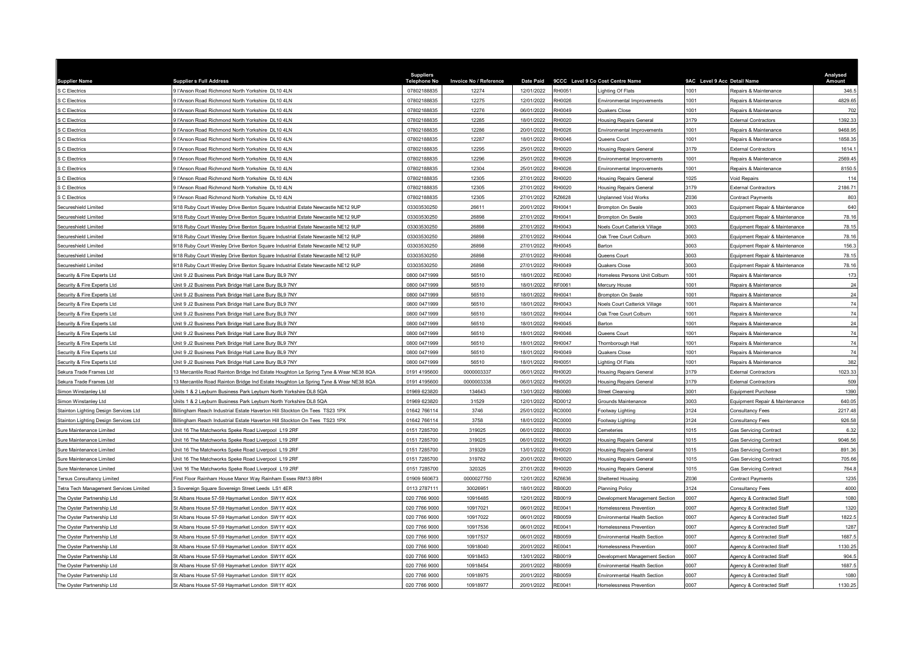| <b>Supplier Name</b>                   | <b>Supplier s Full Address</b>                                                       | <b>Suppliers</b><br><b>Telephone No</b> | Invoice No / Reference | <b>Date Paid</b> |                | 9CCC Level 9 Co Cost Centre Name    | 9AC Level 9 Acc Detail Name |                                | Analysed<br>Amount |
|----------------------------------------|--------------------------------------------------------------------------------------|-----------------------------------------|------------------------|------------------|----------------|-------------------------------------|-----------------------------|--------------------------------|--------------------|
| S C Electrics                          | 9 l'Anson Road Richmond North Yorkshire DL10 4LN                                     | 07802188835                             | 12274                  | 12/01/2022       | RH0051         | ighting Of Flats                    | 1001                        | Repairs & Maintenance          | 346.5              |
| <b>S C Electrics</b>                   | 9 l'Anson Road Richmond North Yorkshire DL10 4LN                                     | 07802188835                             | 12275                  | 12/01/2022       | RH0026         | Environmental Improvements          | 1001                        | Repairs & Maintenance          | 4829.65            |
| S C Electrics                          | 9 l'Anson Road Richmond North Yorkshire DL10 4LN                                     | 07802188835                             | 12276                  | 06/01/2022       | RH0049         | Quakers Close                       | 1001                        | Repairs & Maintenance          | 702                |
| S C Electrics                          | 9 l'Anson Road Richmond North Yorkshire DL10 4LN                                     | 07802188835                             | 12285                  | 18/01/2022       | RH0020         | <b>Housing Repairs General</b>      | 3179                        | <b>External Contractors</b>    | 1392.33            |
| <b>C</b> Electrics                     | 9 l'Anson Road Richmond North Yorkshire DL10 4LN                                     | 07802188835                             | 12286                  | 20/01/2022       | RH0026         | Environmental Improvements          | 1001                        | Repairs & Maintenance          | 9468.95            |
| S C Electrics                          | 9 l'Anson Road Richmond North Yorkshire DL10 4LN                                     | 07802188835                             | 12287                  | 18/01/2022       | RH0046         | Queens Court                        | 1001                        | Repairs & Maintenance          | 1858.35            |
| <b>S C Electrics</b>                   | 9 l'Anson Road Richmond North Yorkshire DL10 4LN                                     | 07802188835                             | 12295                  | 25/01/2022       | RH0020         | <b>Housing Repairs General</b>      | 3179                        | <b>External Contractors</b>    | 1614.1             |
| S C Electrics                          | 9 l'Anson Road Richmond North Yorkshire DL10 4LN                                     | 07802188835                             | 12296                  | 25/01/2022       | RH0026         | Environmental Improvements          | 1001                        | Repairs & Maintenance          | 2569.45            |
| <b>S C Electrics</b>                   | 9 l'Anson Road Richmond North Yorkshire DL10 4LN                                     | 07802188835                             | 12304                  | 25/01/2022       | H0026          | <b>Environmental Improvements</b>   | 1001                        | Repairs & Maintenance          | 8150.5             |
| S C Electrics                          | 9 l'Anson Road Richmond North Yorkshire DL10 4LN                                     | 07802188835                             | 12305                  | 27/01/2022       | RH0020         | <b>Housing Repairs General</b>      | 1025                        | Void Repairs                   | 114                |
| S C Electrics                          | 9 l'Anson Road Richmond North Yorkshire DL10 4LN                                     | 07802188835                             | 12305                  | 27/01/2022       | RH0020         | <b>Housing Repairs General</b>      | 3179                        | <b>External Contractors</b>    | 2186.71            |
| S C Electrics                          | I'Anson Road Richmond North Yorkshire DL10 4LN                                       | 07802188835                             | 12305                  | 27/01/2022       | RZ6628         | Unplanned Void Works                | 7036                        | Contract Payments              | 803                |
| Secureshield Limited                   | 9/18 Ruby Court Wesley Drive Benton Square Industrial Estate Newcastle NE12 9UP      | 03303530250                             | 26611                  | 20/01/2022       | H0041          | Brompton On Swale                   | 3003                        | Equipment Repair & Maintenance | 640                |
| Secureshield Limited                   | 9/18 Ruby Court Wesley Drive Benton Square Industrial Estate Newcastle NE12 9UP      | 03303530250                             | 26898                  | 27/01/2022       | RH0041         | Brompton On Swale                   | 3003                        | Equipment Repair & Maintenance | 78.16              |
| Secureshield Limited                   | 9/18 Ruby Court Wesley Drive Benton Square Industrial Estate Newcastle NE12 9UP      | 03303530250                             | 26898                  | 27/01/2022       | RH0043         | Noels Court Catterick Village       | 3003                        | Equipment Repair & Maintenance | 78.15              |
| Secureshield Limited                   | 9/18 Ruby Court Wesley Drive Benton Square Industrial Estate Newcastle NE12 9UP      | 03303530250                             | 26898                  | 27/01/2022       | H0044          | Oak Tree Court Colburn              | 3003                        | Equipment Repair & Maintenance | 78.16              |
| Secureshield Limited                   | 9/18 Ruby Court Wesley Drive Benton Square Industrial Estate Newcastle NE12 9UP      | 03303530250                             | 26898                  | 27/01/2022       | H0045          | Barton                              | 3003                        | Equipment Repair & Maintenance | 156.3              |
| Secureshield Limited                   | 9/18 Ruby Court Wesley Drive Benton Square Industrial Estate Newcastle NE12 9UP      | 03303530250                             | 26898                  | 27/01/2022       | RH0046         | Queens Court                        | 3003                        | Equipment Repair & Maintenance | 78.15              |
| Secureshield Limited                   | 1/18 Ruby Court Wesley Drive Benton Square Industrial Estate Newcastle NE12 9UP      | 03303530250                             | 26898                  | 27/01/2022       | H0049          | Quakers Close                       | 3003                        | Equipment Repair & Maintenance | 78.16              |
| Security & Fire Experts Ltd            | Unit 9 J2 Business Park Bridge Hall Lane Bury BL9 7NY                                | 0800 0471999                            | 56510                  | 18/01/2022       | E0040          | Homeless Persons Unit Colburn       | 1001                        | Repairs & Maintenance          | 173                |
| Security & Fire Experts Ltd            | Unit 9 J2 Business Park Bridge Hall Lane Bury BL9 7NY                                | 0800 0471999                            | 56510                  | 18/01/2022       | RF0061         | Mercury House                       | 1001                        | Repairs & Maintenance          | 24                 |
| Security & Fire Experts Ltd            | Jnit 9 J2 Business Park Bridge Hall Lane Bury BL9 7NY                                | 0800 0471999                            | 56510                  | 18/01/2022       | H0041          | Brompton On Swale                   | 1001                        | Repairs & Maintenance          | 24                 |
| Security & Fire Experts Ltd            | Unit 9 J2 Business Park Bridge Hall Lane Bury BL9 7NY                                | 0800 0471999                            | 56510                  | 18/01/2022       | RH0043         | Noels Court Catterick Village       | 1001                        | Repairs & Maintenance          | 74                 |
| Security & Fire Experts Ltd            | Jnit 9 J2 Business Park Bridge Hall Lane Bury BL9 7NY                                | 0800 0471999                            | 56510                  | 18/01/2022       | H0044          | Oak Tree Court Colburn              | 1001                        | Repairs & Maintenance          | 74                 |
| Security & Fire Experts Ltd            | Unit 9 J2 Business Park Bridge Hall Lane Bury BL9 7NY                                | 0800 0471999                            | 56510                  | 18/01/2022       | RH0045         | Barton                              | 1001                        | Repairs & Maintenance          | 24                 |
| Security & Fire Experts Ltd            | Unit 9 J2 Business Park Bridge Hall Lane Bury BL9 7NY                                | 0800 0471999                            | 56510                  | 18/01/2022       | RH0046         | Queens Court                        | 1001                        | Repairs & Maintenance          | 74                 |
| Security & Fire Experts Ltd            | Jnit 9 J2 Business Park Bridge Hall Lane Bury BL9 7NY                                | 0800 0471999                            | 56510                  | 18/01/2022       | RH0047         | Thornborough Hall                   | 1001                        | Repairs & Maintenance          | 74                 |
| Security & Fire Experts Ltd            | Unit 9 J2 Business Park Bridge Hall Lane Bury BL9 7NY                                | 0800 0471999                            | 56510                  | 18/01/2022       | RH0049         | Quakers Close                       | 1001                        | Repairs & Maintenance          | 74                 |
| Security & Fire Experts Ltd            | Unit 9 J2 Business Park Bridge Hall Lane Bury BL9 7NY                                | 0800 0471999                            | 56510                  | 18/01/2022       | RH0051         | ighting Of Flats                    | 1001                        | Repairs & Maintenance          | 382                |
| Sekura Trade Frames Ltd                | 13 Mercantile Road Rainton Bridge Ind Estate Houghton Le Spring Tyne & Wear NE38 8QA | 0191 4195600                            | 0000003337             | 06/01/2022       | RH0020         | <b>Housing Repairs General</b>      | 3179                        | <b>External Contractors</b>    | 1023.33            |
| Sekura Trade Frames Ltd                | 13 Mercantile Road Rainton Bridge Ind Estate Houghton Le Spring Tyne & Wear NE38 8QA | 0191 4195600                            | 0000003338             | 06/01/2022       | RH0020         | Housing Repairs General             | 3179                        | sternal Contractors            | 509                |
| Simon Winstanley Ltd                   | Jnits 1 & 2 Leyburn Business Park Leyburn North Yorkshire DL8 5QA                    | 01969 623820                            | 134643                 | 13/01/2022       | B0060          | <b>Street Cleansing</b>             | 3001                        | Equipment Purchase             | 1390               |
| Simon Winstanley I td                  | Units 1 & 2 Levburn Business Park Levburn North Yorkshire DL8 5QA                    | 01969 623820                            | 31529                  | 12/01/2022       | RD0012         | Grounds Maintenance                 | 3003                        | Equipment Repair & Maintenance | 640.05             |
| Stainton Lighting Design Services Ltd  | Billingham Reach Industrial Estate Haverton Hill Stockton On Tees TS23 1PX           | 01642 766114                            | 3746                   | 25/01/2022       | <b>C0000</b>   | Footway Lighting                    | 3124                        | <b>Consultancy Fees</b>        | 2217.48            |
|                                        | Billingham Reach Industrial Estate Haverton Hill Stockton On Tees TS23 1PX           | 01642 766114                            | 3758                   | 18/01/2022       | C0000          |                                     | 3124                        |                                | 926.58             |
| Stainton Lighting Design Services Ltd  |                                                                                      |                                         |                        |                  | RB0030         | Footway Lighting<br>Cemeteries      | 1015                        | Consultancy Fees               | 6.32               |
| Sure Maintenance Limited               | Unit 16 The Matchworks Speke Road Liverpool L19 2RF                                  | 0151 7285700<br>0151 7285700            | 319025                 | 06/01/2022       | RH0020         |                                     | 1015                        | <b>Gas Servicing Contract</b>  | 9046.56            |
| Sure Maintenance Limited               | Jnit 16 The Matchworks Speke Road Liverpool L19 2RF                                  |                                         | 319025                 | 06/01/2022       |                | <b>Housing Repairs General</b>      |                             | <b>Gas Servicing Contract</b>  |                    |
| Sure Maintenance Limited               | Jnit 16 The Matchworks Speke Road Liverpool L19 2RF                                  | 0151 7285700                            | 319329                 | 13/01/2022       | H0020<br>H0020 | lousing Repairs General             | 1015<br>1015                | <b>Gas Servicing Contract</b>  | 891.36<br>705.66   |
| Sure Maintenance Limited               | Jnit 16 The Matchworks Speke Road Liverpool L19 2RF                                  | 0151 7285700                            | 319762                 | 20/01/2022       | H0020          | <b>Housing Repairs General</b>      | 1015                        | <b>Gas Servicing Contract</b>  |                    |
| Sure Maintenance Limited               | Unit 16 The Matchworks Speke Road Liverpool L19 2RF                                  | 0151 7285700                            | 320325                 | 27/01/2022       |                | Housing Repairs General             |                             | <b>Gas Servicing Contract</b>  | 764.8              |
| <b>Tersus Consultancy Limited</b>      | First Floor Rainham House Manor Way Rainham Essex RM13 8RH                           | 01909 560673                            | 0000027750             | 12/01/2022       | <b>Z6636</b>   | Sheltered Housing                   | Z036<br>3124                | Contract Payments              | 1235               |
| Fetra Tech Management Services Limited | 3 Sovereign Square Sovereign Street Leeds LS1 4ER                                    | 0113 2787111                            | 30026951               | 18/01/2022       | <b>RB0020</b>  | <b>Planning Policy</b>              |                             | Consultancv Fees               | 4000               |
| The Oyster Partnership Ltd             | St Albans House 57-59 Haymarket London SW1Y 4QX                                      | 020 7766 9000                           | 10916485               | 12/01/2022       | B0019          | Development Management Section      | 2007                        | Agency & Contracted Staff      | 1080               |
| The Oyster Partnership Ltd             | St Albans House 57-59 Haymarket London SW1Y 4QX                                      | 020 7766 9000                           | 10917021               | 06/01/2022       | RE0041         | Homelessness Prevention             | 0007                        | Agency & Contracted Staff      | 1320               |
| The Oyster Partnership Ltd             | St Albans House 57-59 Haymarket London SW1Y 4QX                                      | 020 7766 9000                           | 10917022               | 06/01/2022       | RB0059         | Environmental Health Section        | 0007                        | Agency & Contracted Staff      | 1822.5             |
| The Oyster Partnership Ltd             | St Albans House 57-59 Haymarket London SW1Y 4QX                                      | 020 7766 9000                           | 10917536               | 06/01/2022       | RE0041         | Homelessness Prevention             | 0007                        | Agency & Contracted Staff      | 1287               |
| The Oyster Partnership Ltd             | St Albans House 57-59 Haymarket London SW1Y 4QX                                      | 020 7766 9000                           | 10917537               | 06/01/2022       | RB0059         | <b>Environmental Health Section</b> | 0007                        | Agency & Contracted Staff      | 1687.5             |
| The Oyster Partnership Ltd             | St Albans House 57-59 Haymarket London SW1Y 4QX                                      | 020 7766 9000                           | 10918040               | 20/01/2022       | RE0041         | Homelessness Prevention             | 000                         | Agency & Contracted Staff      | 1130.25            |
| The Oyster Partnership Ltd             | St Albans House 57-59 Haymarket London SW1Y 4QX                                      | 020 7766 9000                           | 10918453               | 13/01/2022       | RB0019         | Development Management Section      | 0007                        | Agency & Contracted Staff      | 904.5              |
| The Oyster Partnership Ltd             | St Albans House 57-59 Haymarket London SW1Y 4QX                                      | 020 7766 9000                           | 10918454               | 20/01/2022       | B0059          | Environmental Health Section        | 2007                        | Agency & Contracted Staff      | 1687.5             |
| The Oyster Partnership Ltd             | St Albans House 57-59 Haymarket London SW1Y 4QX                                      | 020 7766 9000                           | 10918975               | 20/01/2022       | B0059          | Environmental Health Sectior        | 0007                        | Agency & Contracted Staff      | 1080               |
| The Oyster Partnership Ltd             | St Albans House 57-59 Haymarket London SW1Y 4QX                                      | 020 7766 9000                           | 10918977               | 20/01/2022       | RE0041         | <b>Homelessness Prevention</b>      | 0007                        | Agency & Contracted Staff      | 1130.25            |